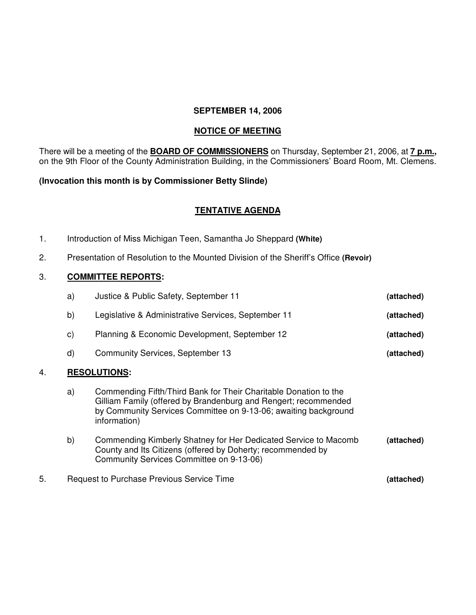#### **SEPTEMBER 14, 2006**

### **NOTICE OF MEETING**

There will be a meeting of the **BOARD OF COMMISSIONERS** on Thursday, September 21, 2006, at **7 p.m.,** on the 9th Floor of the County Administration Building, in the Commissioners' Board Room, Mt. Clemens.

#### **(Invocation this month is by Commissioner Betty Slinde)**

## **TENTATIVE AGENDA**

- 1. Introduction of Miss Michigan Teen, Samantha Jo Sheppard **(White)**
- 2. Presentation of Resolution to the Mounted Division of the Sheriff's Office **(Revoir)**

#### 3. **COMMITTEE REPORTS:**

|    | a)                                               | Justice & Public Safety, September 11                                                                                                                                                                                  | (attached) |  |
|----|--------------------------------------------------|------------------------------------------------------------------------------------------------------------------------------------------------------------------------------------------------------------------------|------------|--|
|    | b)                                               | Legislative & Administrative Services, September 11                                                                                                                                                                    | (attached) |  |
|    | $\mathsf{c})$                                    | Planning & Economic Development, September 12                                                                                                                                                                          | (attached) |  |
|    | d)                                               | <b>Community Services, September 13</b>                                                                                                                                                                                | (attached) |  |
| 4. |                                                  | <b>RESOLUTIONS:</b>                                                                                                                                                                                                    |            |  |
|    | a)                                               | Commending Fifth/Third Bank for Their Charitable Donation to the<br>Gilliam Family (offered by Brandenburg and Rengert; recommended<br>by Community Services Committee on 9-13-06; awaiting background<br>information) |            |  |
|    | b)                                               | Commending Kimberly Shatney for Her Dedicated Service to Macomb<br>County and Its Citizens (offered by Doherty; recommended by<br>Community Services Committee on 9-13-06)                                             | (attached) |  |
| 5. | <b>Request to Purchase Previous Service Time</b> |                                                                                                                                                                                                                        | (attached) |  |